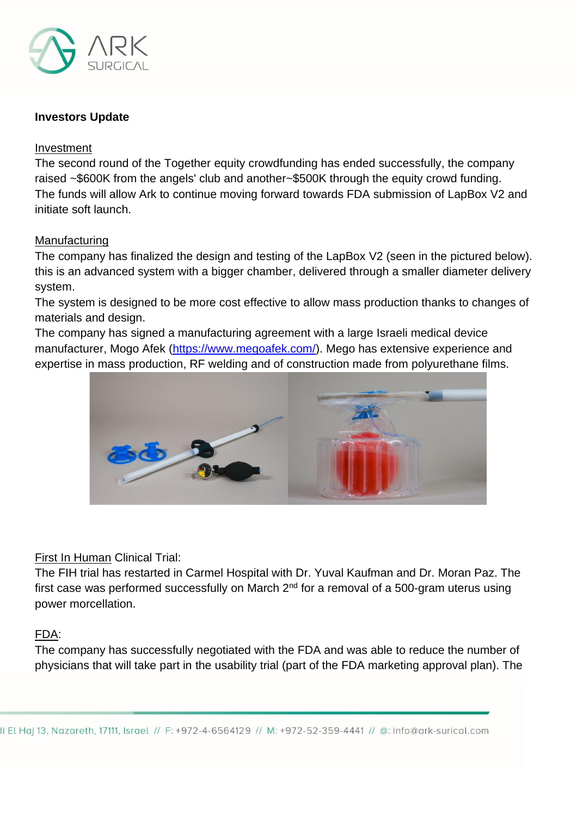

### **Investors Update**

#### Investment

The second round of the Together equity crowdfunding has ended successfully, the company raised ~\$600K from the angels' club and another~\$500K through the equity crowd funding. The funds will allow Ark to continue moving forward towards FDA submission of LapBox V2 and initiate soft launch.

#### Manufacturing

The company has finalized the design and testing of the LapBox V2 (seen in the pictured below). this is an advanced system with a bigger chamber, delivered through a smaller diameter delivery system.

The system is designed to be more cost effective to allow mass production thanks to changes of materials and design.

The company has signed a manufacturing agreement with a large Israeli medical device manufacturer, Mogo Afek [\(https://www.megoafek.com/\)](https://www.megoafek.com/). Mego has extensive experience and expertise in mass production, RF welding and of construction made from polyurethane films.



#### First In Human Clinical Trial:

The FIH trial has restarted in Carmel Hospital with Dr. Yuval Kaufman and Dr. Moran Paz. The first case was performed successfully on March  $2<sup>nd</sup>$  for a removal of a 500-gram uterus using power morcellation.

#### FDA:

The company has successfully negotiated with the FDA and was able to reduce the number of physicians that will take part in the usability trial (part of the FDA marketing approval plan). The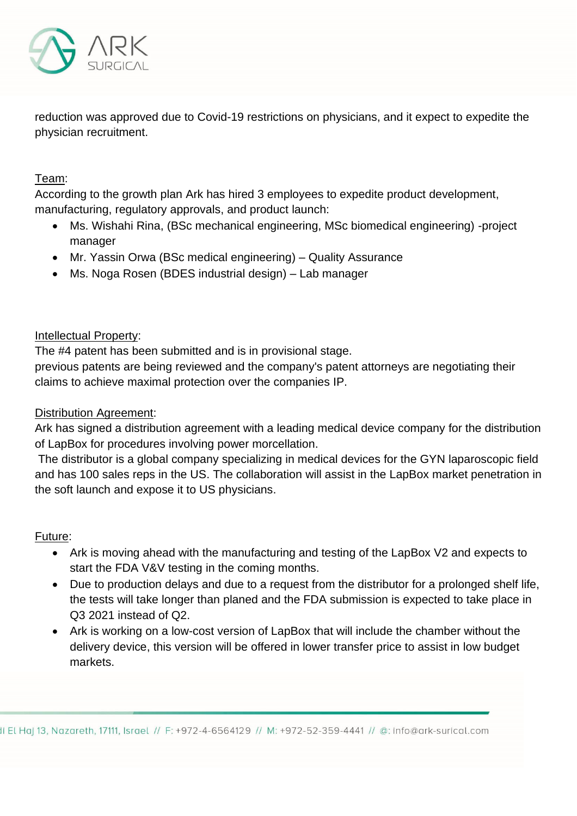

reduction was approved due to Covid-19 restrictions on physicians, and it expect to expedite the physician recruitment.

# Team:

According to the growth plan Ark has hired 3 employees to expedite product development, manufacturing, regulatory approvals, and product launch:

- Ms. Wishahi Rina, (BSc mechanical engineering, MSc biomedical engineering) -project manager
- Mr. Yassin Orwa (BSc medical engineering) Quality Assurance
- Ms. Noga Rosen (BDES industrial design) Lab manager

## Intellectual Property:

The #4 patent has been submitted and is in provisional stage.

previous patents are being reviewed and the company's patent attorneys are negotiating their claims to achieve maximal protection over the companies IP.

## Distribution Agreement:

Ark has signed a distribution agreement with a leading medical device company for the distribution of LapBox for procedures involving power morcellation.

The distributor is a global company specializing in medical devices for the GYN laparoscopic field and has 100 sales reps in the US. The collaboration will assist in the LapBox market penetration in the soft launch and expose it to US physicians.

## Future:

- Ark is moving ahead with the manufacturing and testing of the LapBox V2 and expects to start the FDA V&V testing in the coming months.
- Due to production delays and due to a request from the distributor for a prolonged shelf life, the tests will take longer than planed and the FDA submission is expected to take place in Q3 2021 instead of Q2.
- Ark is working on a low-cost version of LapBox that will include the chamber without the delivery device, this version will be offered in lower transfer price to assist in low budget markets.

li El Haj 13, Nazareth, 17111, Israel // F: +972-4-6564129 // M: +972-52-359-4441 // @: info@ark-surical.com